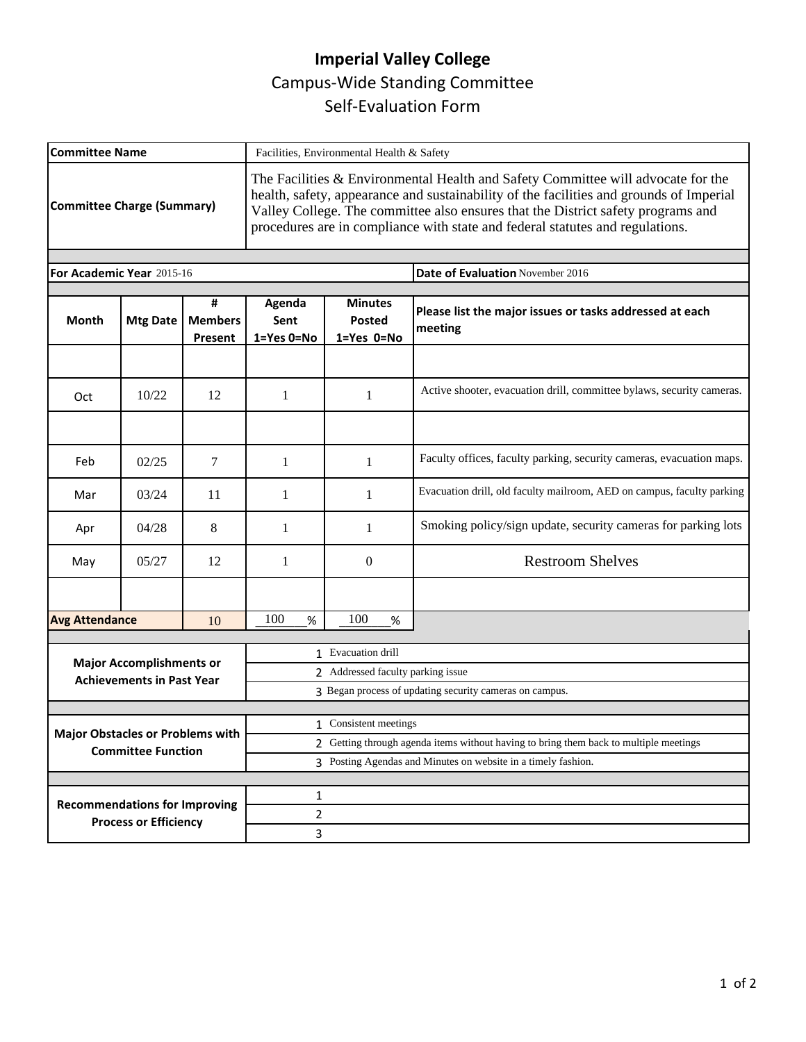## **Imperial Valley College**  Campus-Wide Standing Committee Self-Evaluation Form

| <b>Committee Name</b>                                                |                                | Facilities, Environmental Health & Safety                                             |                                                                                                                                                                                                                                                                                                                                                  |                                                                        |  |
|----------------------------------------------------------------------|--------------------------------|---------------------------------------------------------------------------------------|--------------------------------------------------------------------------------------------------------------------------------------------------------------------------------------------------------------------------------------------------------------------------------------------------------------------------------------------------|------------------------------------------------------------------------|--|
| <b>Committee Charge (Summary)</b>                                    |                                |                                                                                       | The Facilities & Environmental Health and Safety Committee will advocate for the<br>health, safety, appearance and sustainability of the facilities and grounds of Imperial<br>Valley College. The committee also ensures that the District safety programs and<br>procedures are in compliance with state and federal statutes and regulations. |                                                                        |  |
| For Academic Year 2015-16                                            |                                |                                                                                       |                                                                                                                                                                                                                                                                                                                                                  | Date of Evaluation November 2016                                       |  |
|                                                                      |                                |                                                                                       |                                                                                                                                                                                                                                                                                                                                                  |                                                                        |  |
| <b>Mtg Date</b>                                                      | #<br><b>Members</b><br>Present | Agenda<br>Sent<br>1=Yes 0=No                                                          | <b>Minutes</b><br>Posted<br>1=Yes 0=No                                                                                                                                                                                                                                                                                                           | Please list the major issues or tasks addressed at each<br>meeting     |  |
|                                                                      |                                |                                                                                       |                                                                                                                                                                                                                                                                                                                                                  |                                                                        |  |
| 10/22                                                                | 12                             | 1                                                                                     | 1                                                                                                                                                                                                                                                                                                                                                | Active shooter, evacuation drill, committee bylaws, security cameras.  |  |
|                                                                      |                                |                                                                                       |                                                                                                                                                                                                                                                                                                                                                  |                                                                        |  |
| 02/25                                                                | $\tau$                         | 1                                                                                     | $\mathbf{1}$                                                                                                                                                                                                                                                                                                                                     | Faculty offices, faculty parking, security cameras, evacuation maps.   |  |
| 03/24                                                                | 11                             | 1                                                                                     | 1                                                                                                                                                                                                                                                                                                                                                | Evacuation drill, old faculty mailroom, AED on campus, faculty parking |  |
| 04/28                                                                | 8                              | 1                                                                                     | 1                                                                                                                                                                                                                                                                                                                                                | Smoking policy/sign update, security cameras for parking lots          |  |
| 05/27                                                                | 12                             | 1                                                                                     | $\boldsymbol{0}$                                                                                                                                                                                                                                                                                                                                 | <b>Restroom Shelves</b>                                                |  |
|                                                                      |                                |                                                                                       |                                                                                                                                                                                                                                                                                                                                                  |                                                                        |  |
| <b>Avg Attendance</b>                                                | 10                             | 100<br>%                                                                              | 100<br>$\%$                                                                                                                                                                                                                                                                                                                                      |                                                                        |  |
| <b>Major Accomplishments or</b><br><b>Achievements in Past Year</b>  |                                | 1 Evacuation drill                                                                    |                                                                                                                                                                                                                                                                                                                                                  |                                                                        |  |
|                                                                      |                                | 2 Addressed faculty parking issue                                                     |                                                                                                                                                                                                                                                                                                                                                  |                                                                        |  |
|                                                                      |                                | 3 Began process of updating security cameras on campus.                               |                                                                                                                                                                                                                                                                                                                                                  |                                                                        |  |
|                                                                      |                                |                                                                                       |                                                                                                                                                                                                                                                                                                                                                  |                                                                        |  |
| <b>Major Obstacles or Problems with</b><br><b>Committee Function</b> |                                | 2 Getting through agenda items without having to bring them back to multiple meetings |                                                                                                                                                                                                                                                                                                                                                  |                                                                        |  |
|                                                                      |                                | 3 Posting Agendas and Minutes on website in a timely fashion.                         |                                                                                                                                                                                                                                                                                                                                                  |                                                                        |  |
|                                                                      |                                |                                                                                       |                                                                                                                                                                                                                                                                                                                                                  |                                                                        |  |
| <b>Recommendations for Improving</b><br><b>Process or Efficiency</b> |                                |                                                                                       |                                                                                                                                                                                                                                                                                                                                                  |                                                                        |  |
|                                                                      |                                | 3                                                                                     |                                                                                                                                                                                                                                                                                                                                                  |                                                                        |  |
|                                                                      |                                |                                                                                       | 1<br>2                                                                                                                                                                                                                                                                                                                                           | 1 Consistent meetings                                                  |  |